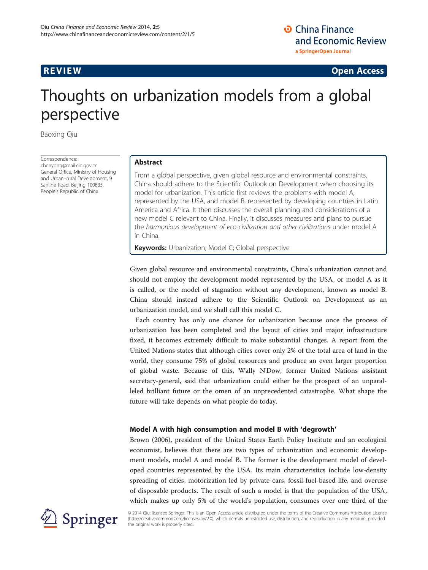**REVIEW REVIEW CONSTRUCTER ACCESS** 

# Thoughts on urbanization models from a global perspective

Baoxing Qiu

Correspondence: [chenyong@mail.cin.gov.cn](mailto:chenyong@mail.cin.gov.cn) General Office, Ministry of Housing and Urban–rural Development, 9 Sanlihe Road, Beijing 100835, People's Republic of China

## Abstract

From a global perspective, given global resource and environmental constraints, China should adhere to the Scientific Outlook on Development when choosing its model for urbanization. This article first reviews the problems with model A, represented by the USA, and model B, represented by developing countries in Latin America and Africa. It then discusses the overall planning and considerations of a new model C relevant to China. Finally, it discusses measures and plans to pursue the harmonious development of eco-civilization and other civilizations under model A in China.

**Keywords:** Urbanization; Model C; Global perspective

Given global resource and environmental constraints, China's urbanization cannot and should not employ the development model represented by the USA, or model A as it is called, or the model of stagnation without any development, known as model B. China should instead adhere to the Scientific Outlook on Development as an urbanization model, and we shall call this model C.

Each country has only one chance for urbanization because once the process of urbanization has been completed and the layout of cities and major infrastructure fixed, it becomes extremely difficult to make substantial changes. A report from the United Nations states that although cities cover only 2% of the total area of land in the world, they consume 75% of global resources and produce an even larger proportion of global waste. Because of this, Wally N'Dow, former United Nations assistant secretary-general, said that urbanization could either be the prospect of an unparalleled brilliant future or the omen of an unprecedented catastrophe. What shape the future will take depends on what people do today.

## Model A with high consumption and model B with 'degrowth'

Brown ([2006](#page-7-0)), president of the United States Earth Policy Institute and an ecological economist, believes that there are two types of urbanization and economic development models, model A and model B. The former is the development model of developed countries represented by the USA. Its main characteristics include low-density spreading of cities, motorization led by private cars, fossil-fuel-based life, and overuse of disposable products. The result of such a model is that the population of the USA, which makes up only 5% of the world's population, consumes over one third of the



© 2014 Qiu; licensee Springer. This is an Open Access article distributed under the terms of the Creative Commons Attribution License (<http://creativecommons.org/licenses/by/2.0>), which permits unrestricted use, distribution, and reproduction in any medium, provided the original work is properly cited.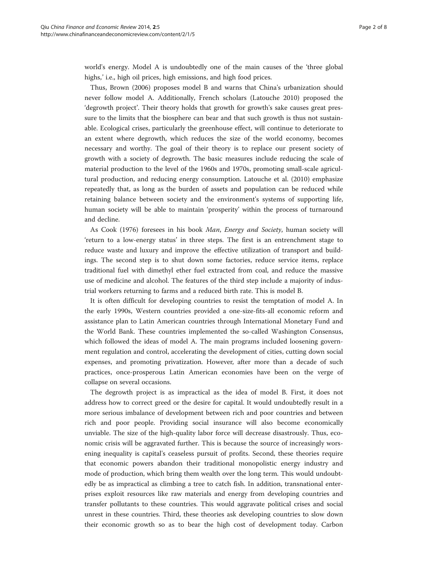world's energy. Model A is undoubtedly one of the main causes of the 'three global highs,' i.e., high oil prices, high emissions, and high food prices.

Thus, Brown ([2006\)](#page-7-0) proposes model B and warns that China's urbanization should never follow model A. Additionally, French scholars (Latouche [2010\)](#page-7-0) proposed the 'degrowth project'. Their theory holds that growth for growth's sake causes great pressure to the limits that the biosphere can bear and that such growth is thus not sustainable. Ecological crises, particularly the greenhouse effect, will continue to deteriorate to an extent where degrowth, which reduces the size of the world economy, becomes necessary and worthy. The goal of their theory is to replace our present society of growth with a society of degrowth. The basic measures include reducing the scale of material production to the level of the 1960s and 1970s, promoting small-scale agricultural production, and reducing energy consumption. Latouche et al. [\(2010](#page-7-0)) emphasize repeatedly that, as long as the burden of assets and population can be reduced while retaining balance between society and the environment's systems of supporting life, human society will be able to maintain 'prosperity' within the process of turnaround and decline.

As Cook ([1976\)](#page-7-0) foresees in his book Man, Energy and Society, human society will 'return to a low-energy status' in three steps. The first is an entrenchment stage to reduce waste and luxury and improve the effective utilization of transport and buildings. The second step is to shut down some factories, reduce service items, replace traditional fuel with dimethyl ether fuel extracted from coal, and reduce the massive use of medicine and alcohol. The features of the third step include a majority of industrial workers returning to farms and a reduced birth rate. This is model B.

It is often difficult for developing countries to resist the temptation of model A. In the early 1990s, Western countries provided a one-size-fits-all economic reform and assistance plan to Latin American countries through International Monetary Fund and the World Bank. These countries implemented the so-called Washington Consensus, which followed the ideas of model A. The main programs included loosening government regulation and control, accelerating the development of cities, cutting down social expenses, and promoting privatization. However, after more than a decade of such practices, once-prosperous Latin American economies have been on the verge of collapse on several occasions.

The degrowth project is as impractical as the idea of model B. First, it does not address how to correct greed or the desire for capital. It would undoubtedly result in a more serious imbalance of development between rich and poor countries and between rich and poor people. Providing social insurance will also become economically unviable. The size of the high-quality labor force will decrease disastrously. Thus, economic crisis will be aggravated further. This is because the source of increasingly worsening inequality is capital's ceaseless pursuit of profits. Second, these theories require that economic powers abandon their traditional monopolistic energy industry and mode of production, which bring them wealth over the long term. This would undoubtedly be as impractical as climbing a tree to catch fish. In addition, transnational enterprises exploit resources like raw materials and energy from developing countries and transfer pollutants to these countries. This would aggravate political crises and social unrest in these countries. Third, these theories ask developing countries to slow down their economic growth so as to bear the high cost of development today. Carbon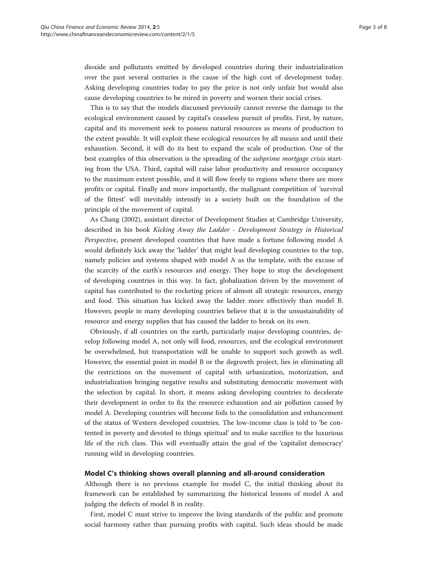dioxide and pollutants emitted by developed countries during their industrialization over the past several centuries is the cause of the high cost of development today. Asking developing countries today to pay the price is not only unfair but would also cause developing countries to be mired in poverty and worsen their social crises.

This is to say that the models discussed previously cannot reverse the damage to the ecological environment caused by capital's ceaseless pursuit of profits. First, by nature, capital and its movement seek to possess natural resources as means of production to the extent possible. It will exploit these ecological resources by all means and until their exhaustion. Second, it will do its best to expand the scale of production. One of the best examples of this observation is the spreading of the subprime mortgage crisis starting from the USA. Third, capital will raise labor productivity and resource occupancy to the maximum extent possible, and it will flow freely to regions where there are more profits or capital. Finally and more importantly, the malignant competition of 'survival of the fittest' will inevitably intensify in a society built on the foundation of the principle of the movement of capital.

As Chang [\(2002\)](#page-7-0), assistant director of Development Studies at Cambridge University, described in his book Kicking Away the Ladder - Development Strategy in Historical Perspective, present developed countries that have made a fortune following model A would definitely kick away the 'ladder' that might lead developing countries to the top, namely policies and systems shaped with model A as the template, with the excuse of the scarcity of the earth's resources and energy. They hope to stop the development of developing countries in this way. In fact, globalization driven by the movement of capital has contributed to the rocketing prices of almost all strategic resources, energy and food. This situation has kicked away the ladder more effectively than model B. However, people in many developing countries believe that it is the unsustainability of resource and energy supplies that has caused the ladder to break on its own.

Obviously, if all countries on the earth, particularly major developing countries, develop following model A, not only will food, resources, and the ecological environment be overwhelmed, but transportation will be unable to support such growth as well. However, the essential point in model B or the degrowth project, lies in eliminating all the restrictions on the movement of capital with urbanization, motorization, and industrialization bringing negative results and substituting democratic movement with the selection by capital. In short, it means asking developing countries to decelerate their development in order to fix the resource exhaustion and air pollution caused by model A. Developing countries will become foils to the consolidation and enhancement of the status of Western developed countries. The low-income class is told to 'be contented in poverty and devoted to things spiritual' and to make sacrifice to the luxurious life of the rich class. This will eventually attain the goal of the 'capitalist democracy' running wild in developing countries.

### Model C's thinking shows overall planning and all-around consideration

Although there is no previous example for model C, the initial thinking about its framework can be established by summarizing the historical lessons of model A and judging the defects of model B in reality.

First, model C must strive to improve the living standards of the public and promote social harmony rather than pursuing profits with capital. Such ideas should be made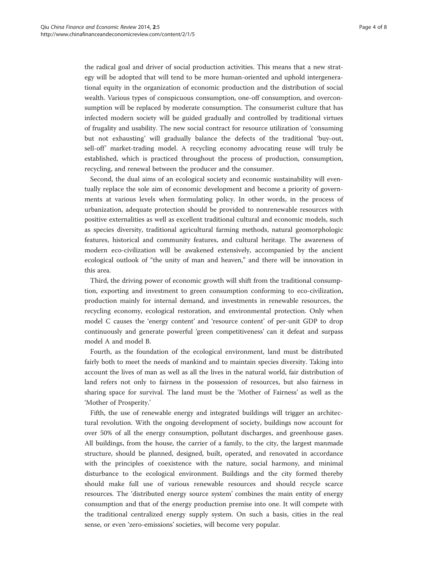the radical goal and driver of social production activities. This means that a new strategy will be adopted that will tend to be more human-oriented and uphold intergenerational equity in the organization of economic production and the distribution of social wealth. Various types of conspicuous consumption, one-off consumption, and overconsumption will be replaced by moderate consumption. The consumerist culture that has infected modern society will be guided gradually and controlled by traditional virtues of frugality and usability. The new social contract for resource utilization of 'consuming but not exhausting' will gradually balance the defects of the traditional 'buy-out, sell-off' market-trading model. A recycling economy advocating reuse will truly be established, which is practiced throughout the process of production, consumption, recycling, and renewal between the producer and the consumer.

Second, the dual aims of an ecological society and economic sustainability will eventually replace the sole aim of economic development and become a priority of governments at various levels when formulating policy. In other words, in the process of urbanization, adequate protection should be provided to nonrenewable resources with positive externalities as well as excellent traditional cultural and economic models, such as species diversity, traditional agricultural farming methods, natural geomorphologic features, historical and community features, and cultural heritage. The awareness of modern eco-civilization will be awakened extensively, accompanied by the ancient ecological outlook of "the unity of man and heaven," and there will be innovation in this area.

Third, the driving power of economic growth will shift from the traditional consumption, exporting and investment to green consumption conforming to eco-civilization, production mainly for internal demand, and investments in renewable resources, the recycling economy, ecological restoration, and environmental protection. Only when model C causes the 'energy content' and 'resource content' of per-unit GDP to drop continuously and generate powerful 'green competitiveness' can it defeat and surpass model A and model B.

Fourth, as the foundation of the ecological environment, land must be distributed fairly both to meet the needs of mankind and to maintain species diversity. Taking into account the lives of man as well as all the lives in the natural world, fair distribution of land refers not only to fairness in the possession of resources, but also fairness in sharing space for survival. The land must be the 'Mother of Fairness' as well as the 'Mother of Prosperity.'

Fifth, the use of renewable energy and integrated buildings will trigger an architectural revolution. With the ongoing development of society, buildings now account for over 50% of all the energy consumption, pollutant discharges, and greenhouse gases. All buildings, from the house, the carrier of a family, to the city, the largest manmade structure, should be planned, designed, built, operated, and renovated in accordance with the principles of coexistence with the nature, social harmony, and minimal disturbance to the ecological environment. Buildings and the city formed thereby should make full use of various renewable resources and should recycle scarce resources. The 'distributed energy source system' combines the main entity of energy consumption and that of the energy production premise into one. It will compete with the traditional centralized energy supply system. On such a basis, cities in the real sense, or even 'zero-emissions' societies, will become very popular.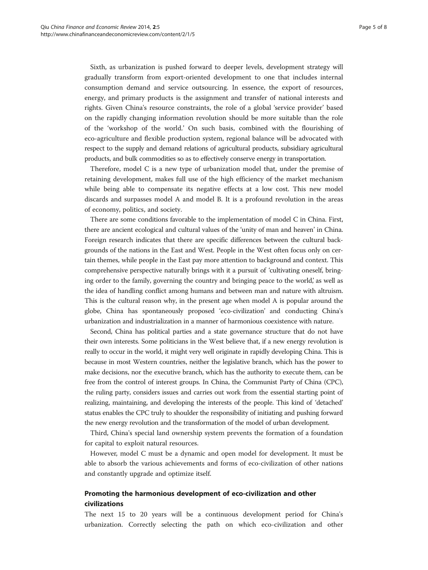Sixth, as urbanization is pushed forward to deeper levels, development strategy will gradually transform from export-oriented development to one that includes internal consumption demand and service outsourcing. In essence, the export of resources, energy, and primary products is the assignment and transfer of national interests and rights. Given China's resource constraints, the role of a global 'service provider' based on the rapidly changing information revolution should be more suitable than the role of the 'workshop of the world.' On such basis, combined with the flourishing of eco-agriculture and flexible production system, regional balance will be advocated with respect to the supply and demand relations of agricultural products, subsidiary agricultural products, and bulk commodities so as to effectively conserve energy in transportation.

Therefore, model C is a new type of urbanization model that, under the premise of retaining development, makes full use of the high efficiency of the market mechanism while being able to compensate its negative effects at a low cost. This new model discards and surpasses model A and model B. It is a profound revolution in the areas of economy, politics, and society.

There are some conditions favorable to the implementation of model C in China. First, there are ancient ecological and cultural values of the 'unity of man and heaven' in China. Foreign research indicates that there are specific differences between the cultural backgrounds of the nations in the East and West. People in the West often focus only on certain themes, while people in the East pay more attention to background and context. This comprehensive perspective naturally brings with it a pursuit of 'cultivating oneself, bringing order to the family, governing the country and bringing peace to the world,' as well as the idea of handling conflict among humans and between man and nature with altruism. This is the cultural reason why, in the present age when model A is popular around the globe, China has spontaneously proposed 'eco-civilization' and conducting China's urbanization and industrialization in a manner of harmonious coexistence with nature.

Second, China has political parties and a state governance structure that do not have their own interests. Some politicians in the West believe that, if a new energy revolution is really to occur in the world, it might very well originate in rapidly developing China. This is because in most Western countries, neither the legislative branch, which has the power to make decisions, nor the executive branch, which has the authority to execute them, can be free from the control of interest groups. In China, the Communist Party of China (CPC), the ruling party, considers issues and carries out work from the essential starting point of realizing, maintaining, and developing the interests of the people. This kind of 'detached' status enables the CPC truly to shoulder the responsibility of initiating and pushing forward the new energy revolution and the transformation of the model of urban development.

Third, China's special land ownership system prevents the formation of a foundation for capital to exploit natural resources.

However, model C must be a dynamic and open model for development. It must be able to absorb the various achievements and forms of eco-civilization of other nations and constantly upgrade and optimize itself.

# Promoting the harmonious development of eco-civilization and other civilizations

The next 15 to 20 years will be a continuous development period for China's urbanization. Correctly selecting the path on which eco-civilization and other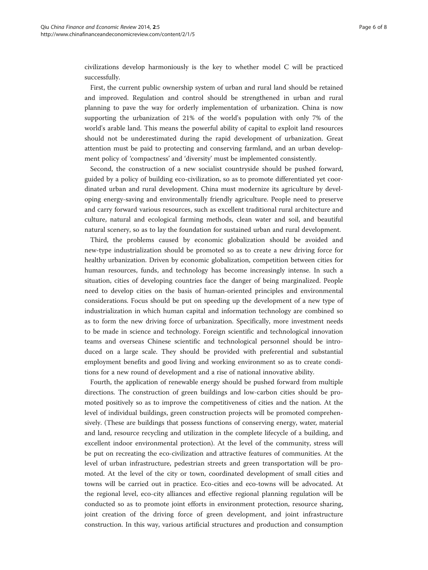civilizations develop harmoniously is the key to whether model C will be practiced successfully.

First, the current public ownership system of urban and rural land should be retained and improved. Regulation and control should be strengthened in urban and rural planning to pave the way for orderly implementation of urbanization. China is now supporting the urbanization of 21% of the world's population with only 7% of the world's arable land. This means the powerful ability of capital to exploit land resources should not be underestimated during the rapid development of urbanization. Great attention must be paid to protecting and conserving farmland, and an urban development policy of 'compactness' and 'diversity' must be implemented consistently.

Second, the construction of a new socialist countryside should be pushed forward, guided by a policy of building eco-civilization, so as to promote differentiated yet coordinated urban and rural development. China must modernize its agriculture by developing energy-saving and environmentally friendly agriculture. People need to preserve and carry forward various resources, such as excellent traditional rural architecture and culture, natural and ecological farming methods, clean water and soil, and beautiful natural scenery, so as to lay the foundation for sustained urban and rural development.

Third, the problems caused by economic globalization should be avoided and new-type industrialization should be promoted so as to create a new driving force for healthy urbanization. Driven by economic globalization, competition between cities for human resources, funds, and technology has become increasingly intense. In such a situation, cities of developing countries face the danger of being marginalized. People need to develop cities on the basis of human-oriented principles and environmental considerations. Focus should be put on speeding up the development of a new type of industrialization in which human capital and information technology are combined so as to form the new driving force of urbanization. Specifically, more investment needs to be made in science and technology. Foreign scientific and technological innovation teams and overseas Chinese scientific and technological personnel should be introduced on a large scale. They should be provided with preferential and substantial employment benefits and good living and working environment so as to create conditions for a new round of development and a rise of national innovative ability.

Fourth, the application of renewable energy should be pushed forward from multiple directions. The construction of green buildings and low-carbon cities should be promoted positively so as to improve the competitiveness of cities and the nation. At the level of individual buildings, green construction projects will be promoted comprehensively. (These are buildings that possess functions of conserving energy, water, material and land, resource recycling and utilization in the complete lifecycle of a building, and excellent indoor environmental protection). At the level of the community, stress will be put on recreating the eco-civilization and attractive features of communities. At the level of urban infrastructure, pedestrian streets and green transportation will be promoted. At the level of the city or town, coordinated development of small cities and towns will be carried out in practice. Eco-cities and eco-towns will be advocated. At the regional level, eco-city alliances and effective regional planning regulation will be conducted so as to promote joint efforts in environment protection, resource sharing, joint creation of the driving force of green development, and joint infrastructure construction. In this way, various artificial structures and production and consumption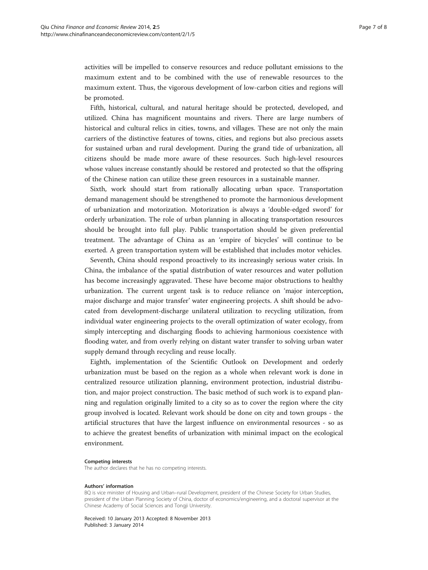activities will be impelled to conserve resources and reduce pollutant emissions to the maximum extent and to be combined with the use of renewable resources to the maximum extent. Thus, the vigorous development of low-carbon cities and regions will be promoted.

Fifth, historical, cultural, and natural heritage should be protected, developed, and utilized. China has magnificent mountains and rivers. There are large numbers of historical and cultural relics in cities, towns, and villages. These are not only the main carriers of the distinctive features of towns, cities, and regions but also precious assets for sustained urban and rural development. During the grand tide of urbanization, all citizens should be made more aware of these resources. Such high-level resources whose values increase constantly should be restored and protected so that the offspring of the Chinese nation can utilize these green resources in a sustainable manner.

Sixth, work should start from rationally allocating urban space. Transportation demand management should be strengthened to promote the harmonious development of urbanization and motorization. Motorization is always a 'double-edged sword' for orderly urbanization. The role of urban planning in allocating transportation resources should be brought into full play. Public transportation should be given preferential treatment. The advantage of China as an 'empire of bicycles' will continue to be exerted. A green transportation system will be established that includes motor vehicles.

Seventh, China should respond proactively to its increasingly serious water crisis. In China, the imbalance of the spatial distribution of water resources and water pollution has become increasingly aggravated. These have become major obstructions to healthy urbanization. The current urgent task is to reduce reliance on 'major interception, major discharge and major transfer' water engineering projects. A shift should be advocated from development-discharge unilateral utilization to recycling utilization, from individual water engineering projects to the overall optimization of water ecology, from simply intercepting and discharging floods to achieving harmonious coexistence with flooding water, and from overly relying on distant water transfer to solving urban water supply demand through recycling and reuse locally.

Eighth, implementation of the Scientific Outlook on Development and orderly urbanization must be based on the region as a whole when relevant work is done in centralized resource utilization planning, environment protection, industrial distribution, and major project construction. The basic method of such work is to expand planning and regulation originally limited to a city so as to cover the region where the city group involved is located. Relevant work should be done on city and town groups - the artificial structures that have the largest influence on environmental resources - so as to achieve the greatest benefits of urbanization with minimal impact on the ecological environment.

#### Competing interests

The author declares that he has no competing interests.

#### Authors' information

BQ is vice minister of Housing and Urban–rural Development, president of the Chinese Society for Urban Studies, president of the Urban Planning Society of China, doctor of economics/engineering, and a doctoral supervisor at the Chinese Academy of Social Sciences and Tongji University.

Received: 10 January 2013 Accepted: 8 November 2013 Published: 3 January 2014